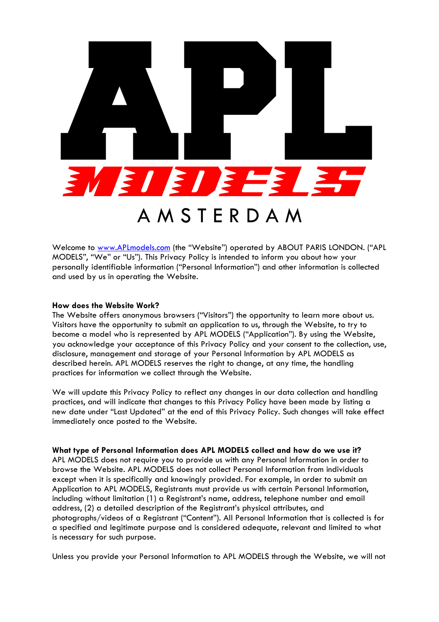

Welcome to www.APLmodels.com (the "Website") operated by ABOUT PARIS LONDON. ("APL MODELS", "We" or "Us"). This Privacy Policy is intended to inform you about how your personally identifiable information ("Personal Information") and other information is collected and used by us in operating the Website.

#### **How does the Website Work?**

The Website offers anonymous browsers ("Visitors") the opportunity to learn more about us. Visitors have the opportunity to submit an application to us, through the Website, to try to become a model who is represented by APL MODELS ("Application"). By using the Website, you acknowledge your acceptance of this Privacy Policy and your consent to the collection, use, disclosure, management and storage of your Personal Information by APL MODELS as described herein. APL MODELS reserves the right to change, at any time, the handling practices for information we collect through the Website.

We will update this Privacy Policy to reflect any changes in our data collection and handling practices, and will indicate that changes to this Privacy Policy have been made by listing a new date under "Last Updated" at the end of this Privacy Policy. Such changes will take effect immediately once posted to the Website.

**What type of Personal Information does APL MODELS collect and how do we use it?** APL MODELS does not require you to provide us with any Personal Information in order to browse the Website. APL MODELS does not collect Personal Information from individuals except when it is specifically and knowingly provided. For example, in order to submit an Application to APL MODELS, Registrants must provide us with certain Personal Information, including without limitation (1) a Registrant's name, address, telephone number and email address, (2) a detailed description of the Registrant's physical attributes, and photographs/videos of a Registrant ("Content"). All Personal Information that is collected is for a specified and legitimate purpose and is considered adequate, relevant and limited to what is necessary for such purpose.

Unless you provide your Personal Information to APL MODELS through the Website, we will not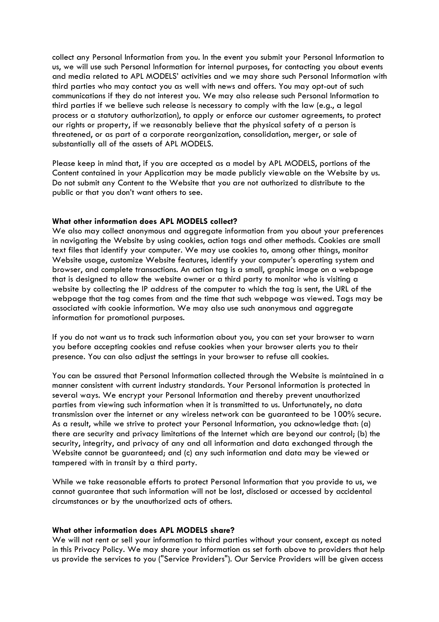collect any Personal Information from you. In the event you submit your Personal Information to us, we will use such Personal Information for internal purposes, for contacting you about events and media related to APL MODELS' activities and we may share such Personal Information with third parties who may contact you as well with news and offers. You may opt-out of such communications if they do not interest you. We may also release such Personal Information to third parties if we believe such release is necessary to comply with the law (e.g., a legal process or a statutory authorization), to apply or enforce our customer agreements, to protect our rights or property, if we reasonably believe that the physical safety of a person is threatened, or as part of a corporate reorganization, consolidation, merger, or sale of substantially all of the assets of APL MODELS.

Please keep in mind that, if you are accepted as a model by APL MODELS, portions of the Content contained in your Application may be made publicly viewable on the Website by us. Do not submit any Content to the Website that you are not authorized to distribute to the public or that you don't want others to see.

## **What other information does APL MODELS collect?**

We also may collect anonymous and aggregate information from you about your preferences in navigating the Website by using cookies, action tags and other methods. Cookies are small text files that identify your computer. We may use cookies to, among other things, monitor Website usage, customize Website features, identify your computer's operating system and browser, and complete transactions. An action tag is a small, graphic image on a webpage that is designed to allow the website owner or a third party to monitor who is visiting a website by collecting the IP address of the computer to which the tag is sent, the URL of the webpage that the tag comes from and the time that such webpage was viewed. Tags may be associated with cookie information. We may also use such anonymous and aggregate information for promotional purposes.

If you do not want us to track such information about you, you can set your browser to warn you before accepting cookies and refuse cookies when your browser alerts you to their presence. You can also adjust the settings in your browser to refuse all cookies.

You can be assured that Personal Information collected through the Website is maintained in a manner consistent with current industry standards. Your Personal information is protected in several ways. We encrypt your Personal Information and thereby prevent unauthorized parties from viewing such information when it is transmitted to us. Unfortunately, no data transmission over the internet or any wireless network can be guaranteed to be 100% secure. As a result, while we strive to protect your Personal Information, you acknowledge that: (a) there are security and privacy limitations of the Internet which are beyond our control; (b) the security, integrity, and privacy of any and all information and data exchanged through the Website cannot be guaranteed; and (c) any such information and data may be viewed or tampered with in transit by a third party.

While we take reasonable efforts to protect Personal Information that you provide to us, we cannot guarantee that such information will not be lost, disclosed or accessed by accidental circumstances or by the unauthorized acts of others.

## **What other information does APL MODELS share?**

We will not rent or sell your information to third parties without your consent, except as noted in this Privacy Policy. We may share your information as set forth above to providers that help us provide the services to you ("Service Providers"). Our Service Providers will be given access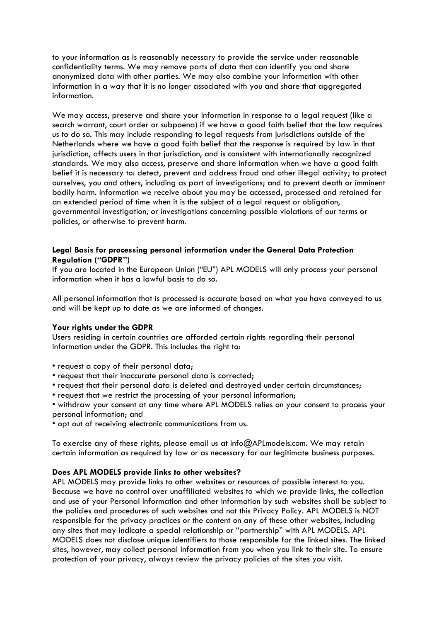to your information as is reasonably necessary to provide the service under reasonable confidentiality terms. We may remove parts of data that can identify you and share anonymized data with other parties. We may also combine your information with other information in a way that it is no longer associated with you and share that aggregated information.

We may access, preserve and share your information in response to a legal request (like a search warrant, court order or subpoena) if we have a good faith belief that the law requires us to do so. This may include responding to legal requests from jurisdictions outside of the Netherlands where we have a good faith belief that the response is required by law in that jurisdiction, affects users in that jurisdiction, and is consistent with internationally recognized standards. We may also access, preserve and share information when we have a good faith belief it is necessary to: detect, prevent and address fraud and other illegal activity; to protect ourselves, you and others, including as part of investigations; and to prevent death or imminent bodily harm. Information we receive about you may be accessed, processed and retained for an extended period of time when it is the subject of a legal request or obligation, governmental investigation, or investigations concerning possible violations of our terms or policies, or otherwise to prevent harm.

# **Legal Basis for processing personal information under the General Data Protection Regulation ("GDPR")**

If you are located in the European Union ("EU") APL MODELS will only process your personal information when it has a lawful basis to do so.

All personal information that is processed is accurate based on what you have conveyed to us and will be kept up to date as we are informed of changes.

## **Your rights under the GDPR**

Users residing in certain countries are afforded certain rights regarding their personal information under the GDPR. This includes the right to:

- request a copy of their personal data;
- request that their inaccurate personal data is corrected;
- request that their personal data is deleted and destroyed under certain circumstances;
- request that we restrict the processing of your personal information;

• withdraw your consent at any time where APL MODELS relies on your consent to process your personal information; and

• opt out of receiving electronic communications from us.

To exercise any of these rights, please email us at info@APLmodels.com. We may retain certain information as required by law or as necessary for our legitimate business purposes.

## **Does APL MODELS provide links to other websites?**

APL MODELS may provide links to other websites or resources of possible interest to you. Because we have no control over unaffiliated websites to which we provide links, the collection and use of your Personal Information and other information by such websites shall be subject to the policies and procedures of such websites and not this Privacy Policy. APL MODELS is NOT responsible for the privacy practices or the content on any of these other websites, including any sites that may indicate a special relationship or "partnership" with APL MODELS. APL MODELS does not disclose unique identifiers to those responsible for the linked sites. The linked sites, however, may collect personal information from you when you link to their site. To ensure protection of your privacy, always review the privacy policies of the sites you visit.